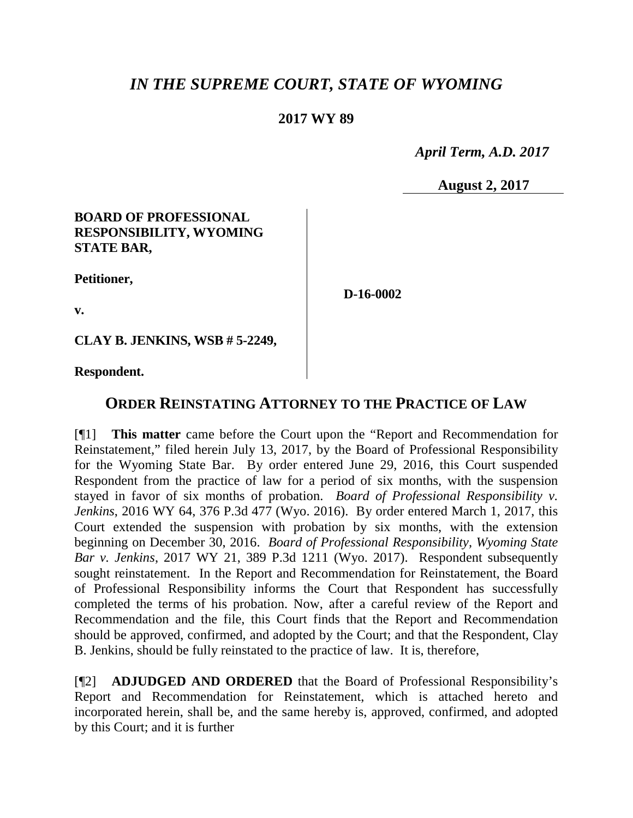# *IN THE SUPREME COURT, STATE OF WYOMING*

## **2017 WY 89**

 *April Term, A.D. 2017*

**August 2, 2017**

### **BOARD OF PROFESSIONAL RESPONSIBILITY, WYOMING STATE BAR,**

**Petitioner,**

**D-16-0002**

**v.**

**CLAY B. JENKINS, WSB # 5-2249,**

**Respondent.**

## **ORDER REINSTATING ATTORNEY TO THE PRACTICE OF LAW**

[¶1] **This matter** came before the Court upon the "Report and Recommendation for Reinstatement," filed herein July 13, 2017, by the Board of Professional Responsibility for the Wyoming State Bar. By order entered June 29, 2016, this Court suspended Respondent from the practice of law for a period of six months, with the suspension stayed in favor of six months of probation. *Board of Professional Responsibility v. Jenkins*, 2016 WY 64, 376 P.3d 477 (Wyo. 2016). By order entered March 1, 2017, this Court extended the suspension with probation by six months, with the extension beginning on December 30, 2016. *Board of Professional Responsibility, Wyoming State Bar v. Jenkins*, 2017 WY 21, 389 P.3d 1211 (Wyo. 2017). Respondent subsequently sought reinstatement. In the Report and Recommendation for Reinstatement, the Board of Professional Responsibility informs the Court that Respondent has successfully completed the terms of his probation. Now, after a careful review of the Report and Recommendation and the file, this Court finds that the Report and Recommendation should be approved, confirmed, and adopted by the Court; and that the Respondent, Clay B. Jenkins, should be fully reinstated to the practice of law. It is, therefore,

[¶2] **ADJUDGED AND ORDERED** that the Board of Professional Responsibility's Report and Recommendation for Reinstatement, which is attached hereto and incorporated herein, shall be, and the same hereby is, approved, confirmed, and adopted by this Court; and it is further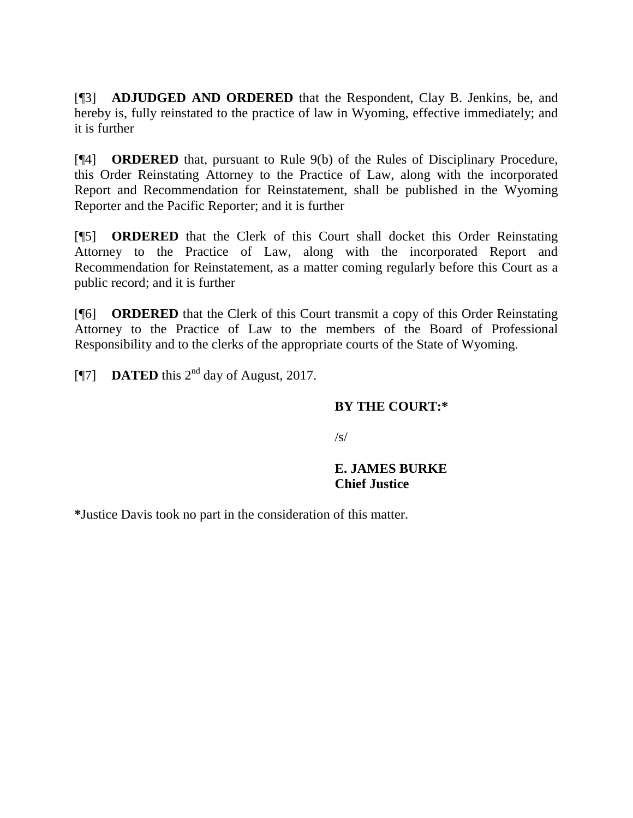[¶3] **ADJUDGED AND ORDERED** that the Respondent, Clay B. Jenkins, be, and hereby is, fully reinstated to the practice of law in Wyoming, effective immediately; and it is further

[¶4] **ORDERED** that, pursuant to Rule 9(b) of the Rules of Disciplinary Procedure, this Order Reinstating Attorney to the Practice of Law, along with the incorporated Report and Recommendation for Reinstatement, shall be published in the Wyoming Reporter and the Pacific Reporter; and it is further

[¶5] **ORDERED** that the Clerk of this Court shall docket this Order Reinstating Attorney to the Practice of Law, along with the incorporated Report and Recommendation for Reinstatement, as a matter coming regularly before this Court as a public record; and it is further

[¶6] **ORDERED** that the Clerk of this Court transmit a copy of this Order Reinstating Attorney to the Practice of Law to the members of the Board of Professional Responsibility and to the clerks of the appropriate courts of the State of Wyoming.

[ $[$ 7] **DATED** this  $2^{nd}$  day of August, 2017.

### **BY THE COURT:\***

 $\sqrt{s}$ 

## **E. JAMES BURKE Chief Justice**

**\***Justice Davis took no part in the consideration of this matter.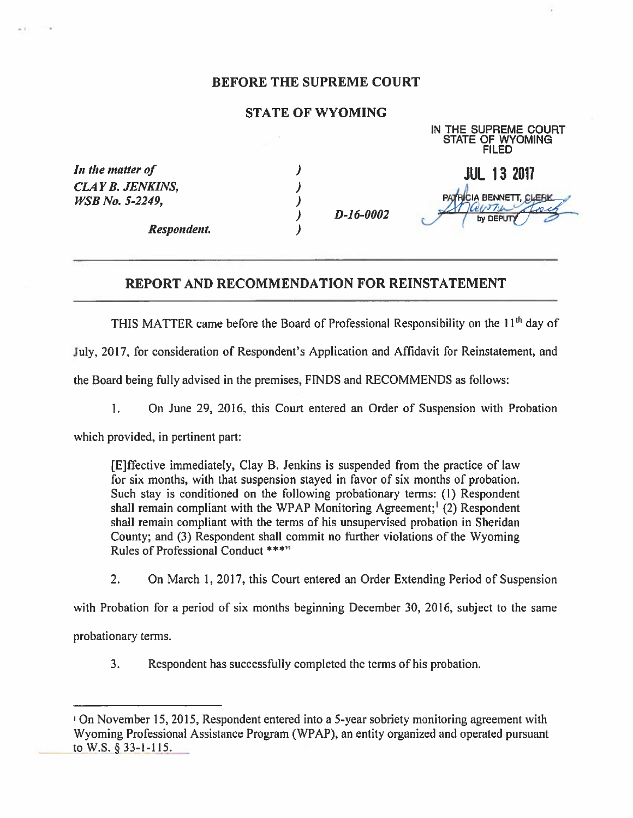#### BEFORE THE SUPREME COURT

#### STATE OF WYOMING

|                                                   |             | ШN<br>THE SUPHEME COURT<br><b>STATE OF WYOMING</b><br><b>FILED</b> |
|---------------------------------------------------|-------------|--------------------------------------------------------------------|
| In the matter of                                  |             | <b>JUL 13 2017</b>                                                 |
| <b>CLAY B. JENKINS,</b><br><b>WSB</b> No. 5-2249, | $D-16-0002$ | <b>CIA BENNETT, CLEBK</b><br>$\overline{\mathcal{L}}$              |
| Respondent.                                       |             | by DEPUT                                                           |

IN THE SUPREME COURT

#### REPORT AND RECOMMENDATION FOR REINSTATEMENT

THIS MATTER came before the Board of Professional Responsibility on the 11<sup>th</sup> day of

July, 2017, for consideration of Respondent's Application and Affidavit for Reinstatement, and

the Board being fully advised in the premises, FINDS and RECOMMENDS as follows:

1. On June 29, 2016. this Court entered an Order of Suspension with Probation

which provided, in pertinent part:

[E]ffective immediately, Clay B. Jenkins is suspended from the practice of law for six months, with that suspension stayed in favor of six months of probation. Such stay is conditioned on the following probationary terms: (1) Respondent shall remain compliant with the WPAP Monitoring Agreement;<sup>1</sup> (2) Respondent shall remain compliant with the terms of his unsupervised probation in Sheridan County; and (3) Respondent shall commit no further violations of the Wyoming Rules of Professional Conduct \*\*\*"

2. On March 1, 2017, this Court entered an Order Extending Period of Suspension

with Probation for a period of six months beginning December 30, 2016, subject to the same

probationary terms.

3. Respondent has successfully completed the terms of his probation.

iOn November 15, 2015, Respondent entered into a 5-year sobriety monitoring agreement with Wyoming Professional Assistance Program (WPAP), an entity organized and operated pursuant to W.S. § 33-1-115.